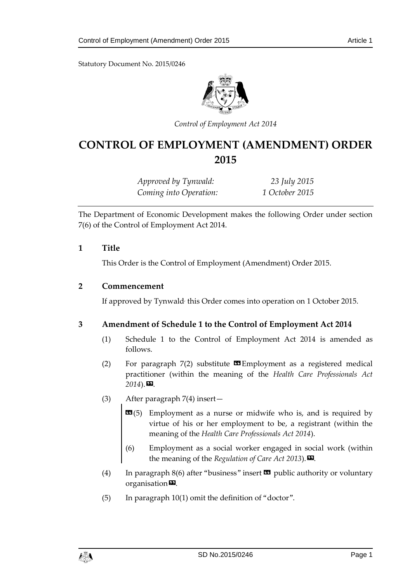Statutory Document No. 2015/0246



*Control of Employment Act 2014*

# **CONTROL OF EMPLOYMENT (AMENDMENT) ORDER 2015**

*Approved by Tynwald: 23 July 2015 Coming into Operation: 1 October 2015*

The Department of Economic Development makes the following Order under section 7(6) of the Control of Employment Act 2014.

#### **1 Title**

This Order is the Control of Employment (Amendment) Order 2015.

#### **2 Commencement**

If approved by Tynwald<sup>,</sup> this Order comes into operation on 1 October 2015.

### **3 Amendment of Schedule 1 to the Control of Employment Act 2014**

- (1) Schedule 1 to the Control of Employment Act 2014 is amended as follows.
- (2) For paragraph  $7(2)$  substitute  $\Box$  Employment as a registered medical practitioner (within the meaning of the *Health Care Professionals Act*   $2014$ ).
- (3) After paragraph 7(4) insert—
	- **EM**(5) Employment as a nurse or midwife who is, and is required by virtue of his or her employment to be, a registrant (within the meaning of the *Health Care Professionals Act 2014*).
	- (6) Employment as a social worker engaged in social work (within the meaning of the *Regulation of Care Act 2013*).
- (4) In paragraph 8(6) after "business" insert  $\Box$  public authority or voluntary organisation<sup>D</sup>.
- (5) In paragraph 10(1) omit the definition of "doctor".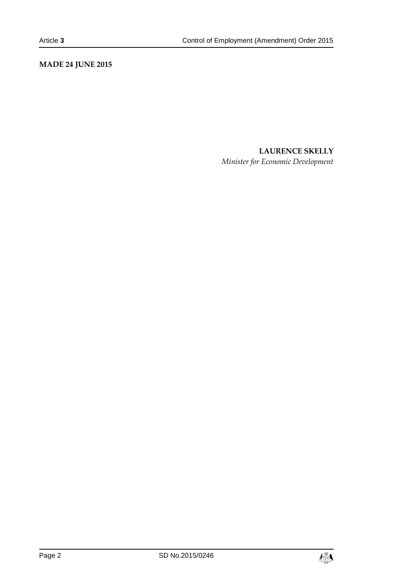# **MADE 24 JUNE 2015**

# **LAURENCE SKELLY**

*Minister for Economic Development*